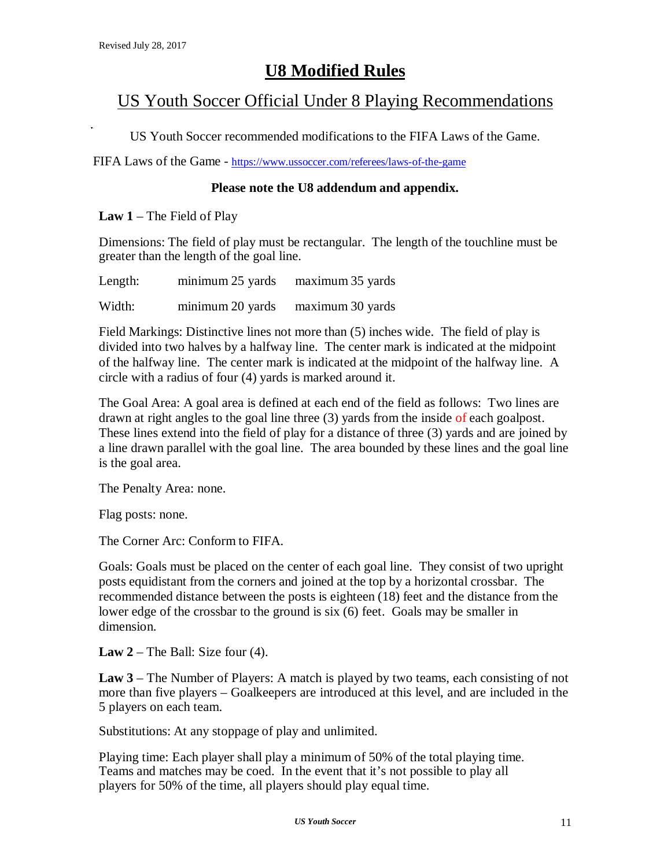# **U8 Modified Rules**

## US Youth Soccer Official Under 8 Playing Recommendations

US Youth Soccer recommended modifications to the FIFA Laws of the Game.

FIFA Laws of the Game - https://www.ussoccer.com/referees/laws-of-the-game

### **Please note the U8 addendum and appendix.**

**Law 1** – The Field of Play

Dimensions: The field of play must be rectangular. The length of the touchline must be greater than the length of the goal line.

Length: minimum 25 yards maximum 35 yards

Width: minimum 20 yards maximum 30 yards

Field Markings: Distinctive lines not more than (5) inches wide. The field of play is divided into two halves by a halfway line. The center mark is indicated at the midpoint of the halfway line. The center mark is indicated at the midpoint of the halfway line. A circle with a radius of four (4) yards is marked around it.

The Goal Area: A goal area is defined at each end of the field as follows: Two lines are drawn at right angles to the goal line three (3) yards from the inside of each goalpost. These lines extend into the field of play for a distance of three (3) yards and are joined by a line drawn parallel with the goal line. The area bounded by these lines and the goal line is the goal area.

The Penalty Area: none.

Flag posts: none.

The Corner Arc: Conform to FIFA.

Goals: Goals must be placed on the center of each goal line. They consist of two upright posts equidistant from the corners and joined at the top by a horizontal crossbar. The recommended distance between the posts is eighteen (18) feet and the distance from the lower edge of the crossbar to the ground is six (6) feet. Goals may be smaller in dimension.

**Law 2** – The Ball: Size four (4).

**Law 3** – The Number of Players: A match is played by two teams, each consisting of not more than five players – Goalkeepers are introduced at this level, and are included in the 5 players on each team.

Substitutions: At any stoppage of play and unlimited.

Playing time: Each player shall play a minimum of 50% of the total playing time. Teams and matches may be coed. In the event that it's not possible to play all players for 50% of the time, all players should play equal time.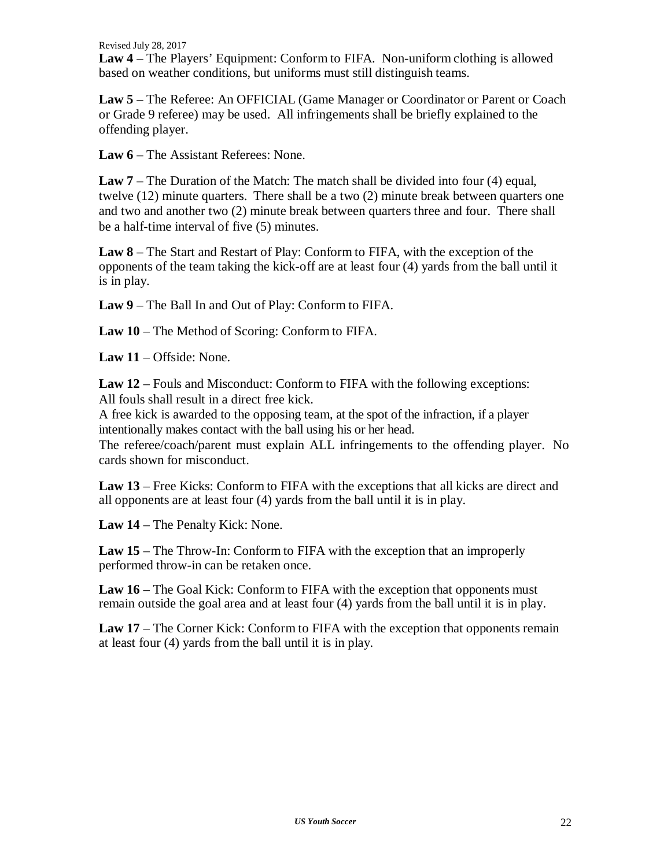Revised July 28, 2017

**Law 4** – The Players' Equipment: Conform to FIFA. Non-uniform clothing is allowed based on weather conditions, but uniforms must still distinguish teams.

**Law 5** – The Referee: An OFFICIAL (Game Manager or Coordinator or Parent or Coach or Grade 9 referee) may be used. All infringements shall be briefly explained to the offending player.

**Law 6** – The Assistant Referees: None.

**Law 7** – The Duration of the Match: The match shall be divided into four (4) equal, twelve (12) minute quarters. There shall be a two (2) minute break between quarters one and two and another two (2) minute break between quarters three and four. There shall be a half-time interval of five (5) minutes.

**Law 8** – The Start and Restart of Play: Conform to FIFA, with the exception of the opponents of the team taking the kick-off are at least four (4) yards from the ball until it is in play.

**Law 9** – The Ball In and Out of Play: Conform to FIFA.

**Law 10** – The Method of Scoring: Conform to FIFA.

**Law 11** – Offside: None.

**Law 12** – Fouls and Misconduct: Conform to FIFA with the following exceptions: All fouls shall result in a direct free kick.

A free kick is awarded to the opposing team, at the spot of the infraction, if a player intentionally makes contact with the ball using his or her head.

The referee/coach/parent must explain ALL infringements to the offending player. No cards shown for misconduct.

**Law 13** – Free Kicks: Conform to FIFA with the exceptions that all kicks are direct and all opponents are at least four (4) yards from the ball until it is in play.

**Law 14** – The Penalty Kick: None.

**Law 15** – The Throw-In: Conform to FIFA with the exception that an improperly performed throw-in can be retaken once.

**Law 16** – The Goal Kick: Conform to FIFA with the exception that opponents must remain outside the goal area and at least four (4) yards from the ball until it is in play.

**Law 17** – The Corner Kick: Conform to FIFA with the exception that opponents remain at least four (4) yards from the ball until it is in play.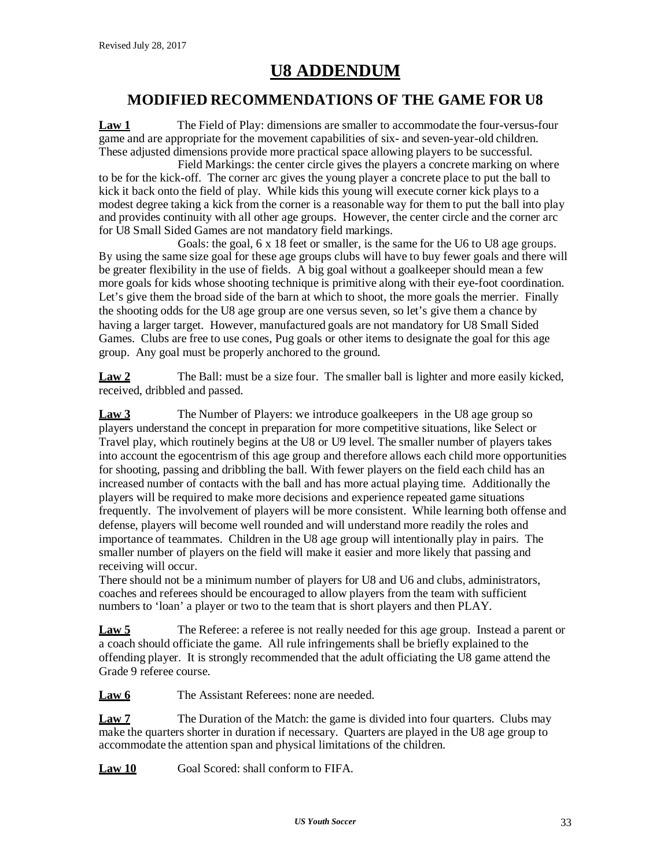### **MODIFIED RECOMMENDATIONS OF THE GAME FOR U8**

**Law 1** The Field of Play: dimensions are smaller to accommodate the four-versus-four game and are appropriate for the movement capabilities of six- and seven-year-old children. These adjusted dimensions provide more practical space allowing players to be successful.

Field Markings: the center circle gives the players a concrete marking on where to be for the kick-off. The corner arc gives the young player a concrete place to put the ball to kick it back onto the field of play. While kids this young will execute corner kick plays to a modest degree taking a kick from the corner is a reasonable way for them to put the ball into play and provides continuity with all other age groups. However, the center circle and the corner arc for U8 Small Sided Games are not mandatory field markings.

Goals: the goal, 6 x 18 feet or smaller, is the same for the U6 to U8 age groups. By using the same size goal for these age groups clubs will have to buy fewer goals and there will be greater flexibility in the use of fields. A big goal without a goalkeeper should mean a few more goals for kids whose shooting technique is primitive along with their eye-foot coordination. Let's give them the broad side of the barn at which to shoot, the more goals the merrier. Finally the shooting odds for the U8 age group are one versus seven, so let's give them a chance by having a larger target. However, manufactured goals are not mandatory for U8 Small Sided Games. Clubs are free to use cones, Pug goals or other items to designate the goal for this age group. Any goal must be properly anchored to the ground.

**Law 2** The Ball: must be a size four. The smaller ball is lighter and more easily kicked, received, dribbled and passed.

**Law 3** The Number of Players: we introduce goalkeepers in the U8 age group so players understand the concept in preparation for more competitive situations, like Select or Travel play, which routinely begins at the U8 or U9 level. The smaller number of players takes into account the egocentrism of this age group and therefore allows each child more opportunities for shooting, passing and dribbling the ball. With fewer players on the field each child has an increased number of contacts with the ball and has more actual playing time. Additionally the players will be required to make more decisions and experience repeated game situations frequently. The involvement of players will be more consistent. While learning both offense and defense, players will become well rounded and will understand more readily the roles and importance of teammates. Children in the U8 age group will intentionally play in pairs. The smaller number of players on the field will make it easier and more likely that passing and receiving will occur.

There should not be a minimum number of players for U8 and U6 and clubs, administrators, coaches and referees should be encouraged to allow players from the team with sufficient numbers to 'loan' a player or two to the team that is short players and then PLAY.

**Law 5** The Referee: a referee is not really needed for this age group. Instead a parent or a coach should officiate the game. All rule infringements shall be briefly explained to the offending player. It is strongly recommended that the adult officiating the U8 game attend the Grade 9 referee course.

Law 6 The Assistant Referees: none are needed.

**Law 7** The Duration of the Match: the game is divided into four quarters. Clubs may make the quarters shorter in duration if necessary. Quarters are played in the U8 age group to accommodate the attention span and physical limitations of the children.

Law 10 Goal Scored: shall conform to FIFA.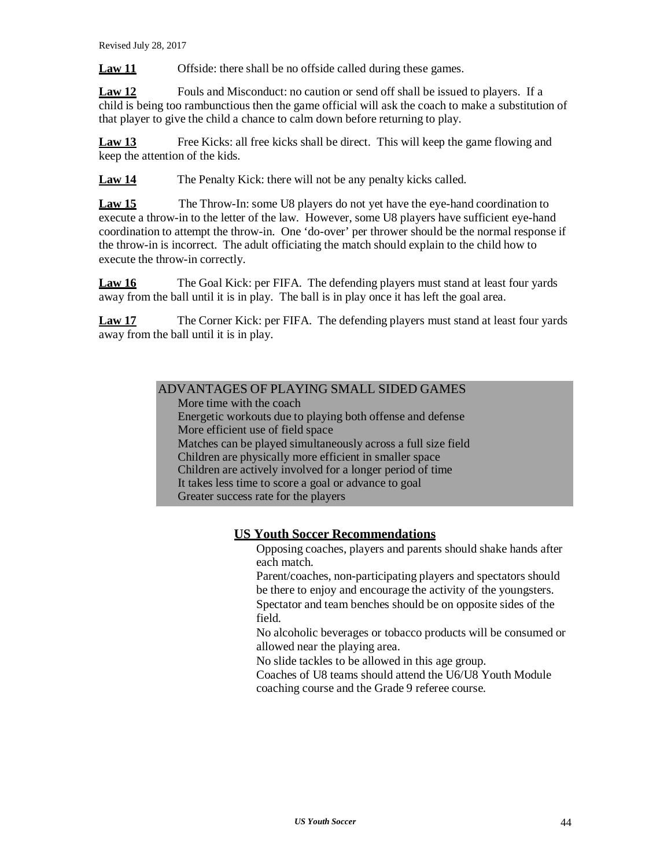**Law 11** Offside: there shall be no offside called during these games.

**Law 12** Fouls and Misconduct: no caution or send off shall be issued to players. If a child is being too rambunctious then the game official will ask the coach to make a substitution of that player to give the child a chance to calm down before returning to play.

**Law 13** Free Kicks: all free kicks shall be direct. This will keep the game flowing and keep the attention of the kids.

**Law 14** The Penalty Kick: there will not be any penalty kicks called.

**Law 15** The Throw-In: some U8 players do not yet have the eye-hand coordination to execute a throw-in to the letter of the law. However, some U8 players have sufficient eye-hand coordination to attempt the throw-in. One 'do-over' per thrower should be the normal response if the throw-in is incorrect. The adult officiating the match should explain to the child how to execute the throw-in correctly.

**Law 16** The Goal Kick: per FIFA. The defending players must stand at least four yards away from the ball until it is in play. The ball is in play once it has left the goal area.

**Law 17** The Corner Kick: per FIFA. The defending players must stand at least four yards away from the ball until it is in play.

### ADVANTAGES OF PLAYING SMALL SIDED GAMES

More time with the coach Energetic workouts due to playing both offense and defense More efficient use of field space Matches can be played simultaneously across a full size field Children are physically more efficient in smaller space Children are actively involved for a longer period of time It takes less time to score a goal or advance to goal Greater success rate for the players

### **US Youth Soccer Recommendations**

Opposing coaches, players and parents should shake hands after each match.

Parent/coaches, non-participating players and spectators should be there to enjoy and encourage the activity of the youngsters. Spectator and team benches should be on opposite sides of the field.

No alcoholic beverages or tobacco products will be consumed or allowed near the playing area.

No slide tackles to be allowed in this age group.

Coaches of U8 teams should attend the U6/U8 Youth Module coaching course and the Grade 9 referee course.